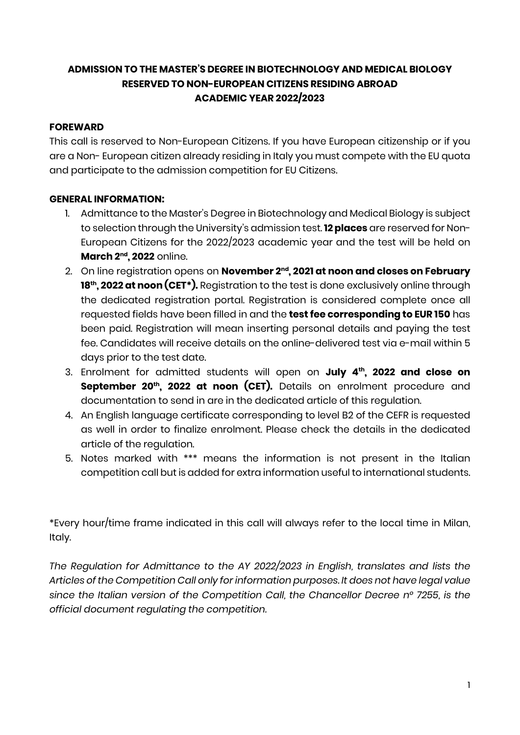### **ADMISSION TO THE MASTER'S DEGREE IN BIOTECHNOLOGY AND MEDICAL BIOLOGY RESERVED TO NON-EUROPEAN CITIZENS RESIDING ABROAD ACADEMIC YEAR 2022/2023**

#### **FOREWARD**

This call is reserved to Non-European Citizens. If you have European citizenship or if you are a Non- European citizen already residing in Italy you must compete with the EU quota and participate to the admission competition for EU Citizens.

#### **GENERAL INFORMATION:**

- 1. Admittance to the Master's Degree in Biotechnology and Medical Biology is subject to selection through the University's admission test. **12 places** are reserved for Non-European Citizens for the 2022/2023 academic year and the test will be held on **March 2nd, 2022** online.
- 2. On line registration opens on **November 2nd, 2021 at noon and closes on February 18<sup>th</sup>, 2022 at noon (CET<sup>\*</sup>).** Registration to the test is done exclusively online through the dedicated registration portal. Registration is considered complete once all requested fields have been filled in and the **test fee corresponding to EUR 150** has been paid. Registration will mean inserting personal details and paying the test fee. Candidates will receive details on the online-delivered test via e-mail within 5 days prior to the test date.
- 3. Enrolment for admitted students will open on **July 4th, 2022 and close on September 20<sup>th</sup>, 2022 at noon (CET).** Details on enrolment procedure and documentation to send in are in the dedicated article of this regulation.
- 4. An English language certificate corresponding to level B2 of the CEFR is requested as well in order to finalize enrolment. Please check the details in the dedicated article of the regulation.
- 5. Notes marked with \*\*\* means the information is not present in the Italian competition call but is added for extra information useful to international students.

\*Every hour/time frame indicated in this call will always refer to the local time in Milan, Italy.

*The Regulation for Admittance to the AY 2022/2023 in English, translates and lists the Articles of the Competition Call only for information purposes. It does not have legal value since the Italian version of the Competition Call, the Chancellor Decree n° 7255, is the official document regulating the competition.*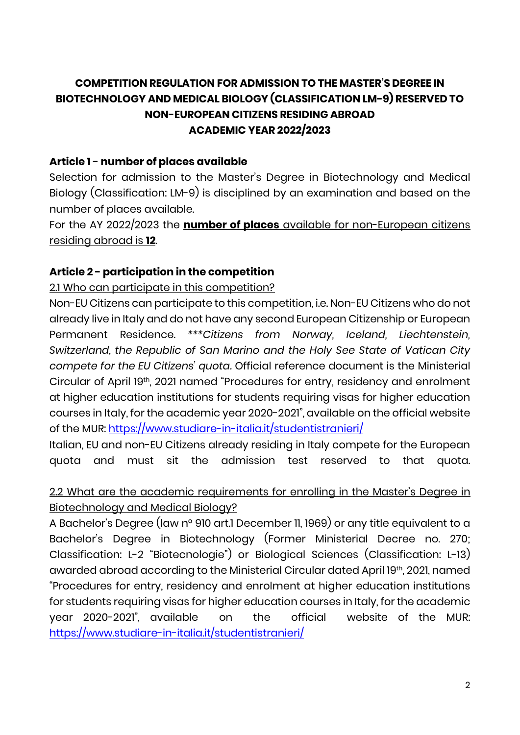# **COMPETITION REGULATION FOR ADMISSION TO THE MASTER'S DEGREE IN BIOTECHNOLOGY AND MEDICAL BIOLOGY (CLASSIFICATION LM-9) RESERVED TO NON-EUROPEAN CITIZENS RESIDING ABROAD ACADEMIC YEAR 2022/2023**

### **Article 1 - number of places available**

Selection for admission to the Master's Degree in Biotechnology and Medical Biology (Classification: LM-9) is disciplined by an examination and based on the number of places available.

For the AY 2022/2023 the **number of places** available for non-European citizens residing abroad is **12**.

## **Article 2 - participation in the competition**

## 2.1 Who can participate in this competition?

Non-EU Citizens can participate to this competition, i.e. Non-EU Citizens who do not already live in Italy and do not have any second European Citizenship or European Permanent Residence. *\*\*\*Citizens from Norway, Iceland, Liechtenstein, Switzerland, the Republic of San Marino and the Holy See State of Vatican City compete for the EU Citizens' quota.* Official reference document is the Ministerial Circular of April 19th, 2021 named "Procedures for entry, residency and enrolment at higher education institutions for students requiring visas for higher education courses in Italy, for the academic year 2020-2021", available on the official website of the MUR:<https://www.studiare-in-italia.it/studentistranieri/>

Italian, EU and non-EU Citizens already residing in Italy compete for the European quota and must sit the admission test reserved to that quota.

## 2.2 What are the academic requirements for enrolling in the Master's Degree in Biotechnology and Medical Biology?

A Bachelor's Degree (law n° 910 art.1 December 11, 1969) or any title equivalent to a Bachelor's Degree in Biotechnology (Former Ministerial Decree no. 270; Classification: L-2 "Biotecnologie") or Biological Sciences (Classification: L-13) awarded abroad according to the Ministerial Circular dated April 19th, 2021, named "Procedures for entry, residency and enrolment at higher education institutions for students requiring visas for higher education courses in Italy, for the academic year 2020-2021", available on the official website of the MUR: <https://www.studiare-in-italia.it/studentistranieri/>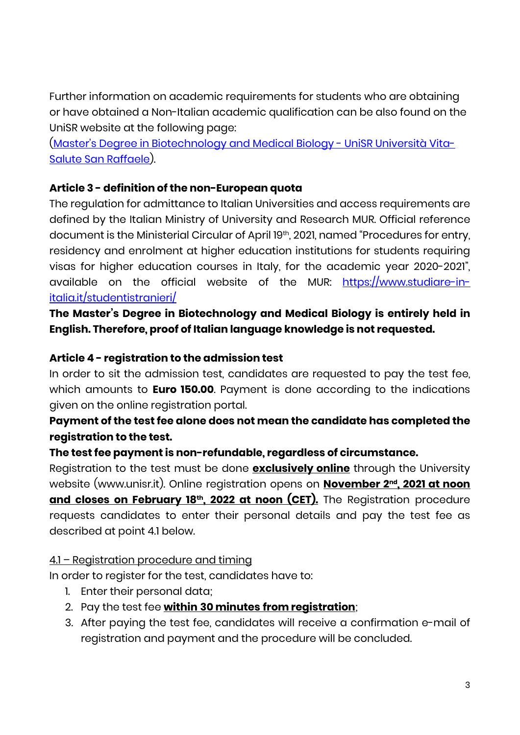Further information on academic requirements for students who are obtaining or have obtained a Non-Italian academic qualification can be also found on the UniSR website at the following page:

(Master['s Degree in Biotechnology and Medical Biology -](https://www.unisr.it/en/offerta-formativa/medicina-chirurgia/corso-di-laurea-magistrale-biotechnology-medical-biology) UniSR Università Vita-[Salute San Raffaele\)](https://www.unisr.it/en/offerta-formativa/medicina-chirurgia/corso-di-laurea-magistrale-biotechnology-medical-biology).

## **Article 3 - definition of the non-European quota**

The regulation for admittance to Italian Universities and access requirements are defined by the Italian Ministry of University and Research MUR. Official reference document is the Ministerial Circular of April 19th, 2021, named "Procedures for entry, residency and enrolment at higher education institutions for students requiring visas for higher education courses in Italy, for the academic year 2020-2021", available on the official website of the MUR: [https://www.studiare-in](https://www.studiare-in-italia.it/studentistranieri/)[italia.it/studentistranieri/](https://www.studiare-in-italia.it/studentistranieri/)

**The Master's Degree in Biotechnology and Medical Biology is entirely held in English. Therefore, proof of Italian language knowledge is not requested.**

#### **Article 4 - registration to the admission test**

In order to sit the admission test, candidates are requested to pay the test fee, which amounts to **Euro 150.00**. Payment is done according to the indications given on the online registration portal.

## **Payment of the test fee alone does not mean the candidate has completed the registration to the test.**

#### **The test fee payment is non-refundable, regardless of circumstance.**

Registration to the test must be done **exclusively online** through the University website (www.unisr.it). Online registration opens on **November 2nd, 2021 at noon**  and closes on February 18th, 2022 at noon (CET). The Registration procedure requests candidates to enter their personal details and pay the test fee as described at point 4.1 below.

#### 4.1 – Registration procedure and timing

In order to register for the test, candidates have to:

- 1. Enter their personal data;
- 2. Pay the test fee **within 30 minutes from registration**;
- 3. After paying the test fee, candidates will receive a confirmation e-mail of registration and payment and the procedure will be concluded.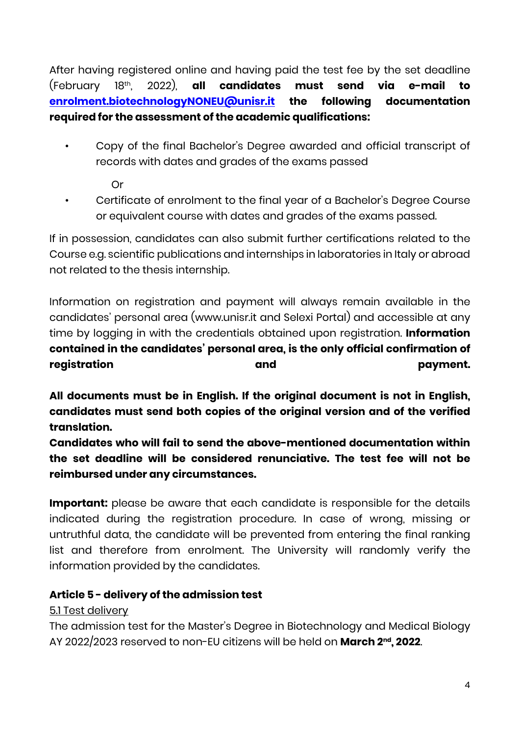After having registered online and having paid the test fee by the set deadline (February 18th, 2022), **all candidates must send via e-mail to [enrolment.biotechnologyNONEU@unisr.it](mailto:enrolment.biotechnologyNONEU@unisr.it) the following documentation required for the assessment of the academic qualifications:**

• Copy of the final Bachelor's Degree awarded and official transcript of records with dates and grades of the exams passed

Or

• Certificate of enrolment to the final year of a Bachelor's Degree Course or equivalent course with dates and grades of the exams passed.

If in possession, candidates can also submit further certifications related to the Course e.g. scientific publications and internships in laboratories in Italy or abroad not related to the thesis internship.

Information on registration and payment will always remain available in the candidates' personal area (www.unisr.it and Selexi Portal) and accessible at any time by logging in with the credentials obtained upon registration. **Information contained in the candidates' personal area, is the only official confirmation of registration and payment.**

**All documents must be in English. If the original document is not in English, candidates must send both copies of the original version and of the verified translation.**

**Candidates who will fail to send the above-mentioned documentation within the set deadline will be considered renunciative. The test fee will not be reimbursed under any circumstances.**

**Important:** please be aware that each candidate is responsible for the details indicated during the registration procedure. In case of wrong, missing or untruthful data, the candidate will be prevented from entering the final ranking list and therefore from enrolment. The University will randomly verify the information provided by the candidates.

## **Article 5 - delivery of the admission test**

## 5.1 Test delivery

The admission test for the Master's Degree in Biotechnology and Medical Biology AY 2022/2023 reserved to non-EU citizens will be held on **March 2nd, 2022**.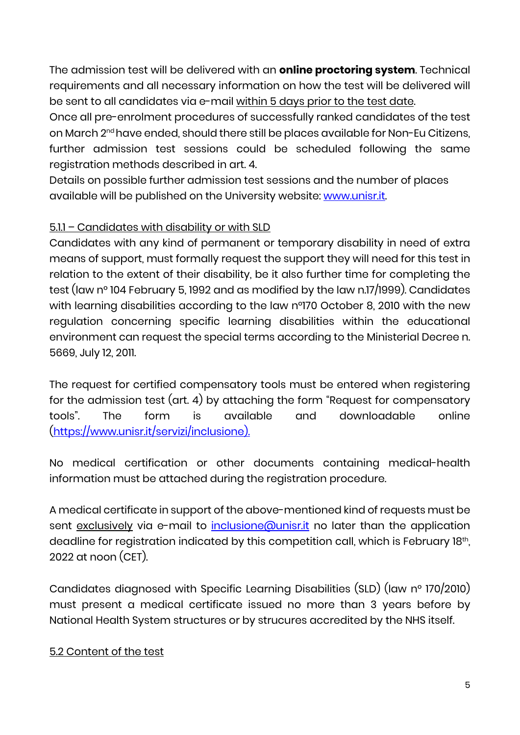The admission test will be delivered with an **online proctoring system**. Technical requirements and all necessary information on how the test will be delivered will be sent to all candidates via e-mail within 5 days prior to the test date.

Once all pre-enrolment procedures of successfully ranked candidates of the test on March 2nd have ended, should there still be places available for Non-Eu Citizens, further admission test sessions could be scheduled following the same registration methods described in art. 4.

Details on possible further admission test sessions and the number of places available will be published on the University website: [www.unisr.it.](http://www.unisr.it/)

## 5.1.1 – Candidates with disability or with SLD

Candidates with any kind of permanent or temporary disability in need of extra means of support, must formally request the support they will need for this test in relation to the extent of their disability, be it also further time for completing the test (law n° 104 February 5, 1992 and as modified by the law n.17/1999). Candidates with learning disabilities according to the law n°170 October 8, 2010 with the new regulation concerning specific learning disabilities within the educational environment can request the special terms according to the Ministerial Decree n. 5669, July 12, 2011.

The request for certified compensatory tools must be entered when registering for the admission test (art. 4) by attaching the form "Request for compensatory tools". The form is available and downloadable online [\(https://www.unisr.it/servizi/inclusione\)](https://www.unisr.it/servizi/inclusione).

No medical certification or other documents containing medical-health information must be attached during the registration procedure.

A medical certificate in support of the above-mentioned kind of requests must be sent exclusively via e-mail to [inclusione@unisr.it](mailto:inclusione@unisr.it) no later than the application deadline for registration indicated by this competition call, which is February 18th, 2022 at noon (CET).

Candidates diagnosed with Specific Learning Disabilities (SLD) (law n° 170/2010) must present a medical certificate issued no more than 3 years before by National Health System structures or by strucures accredited by the NHS itself.

## 5.2 Content of the test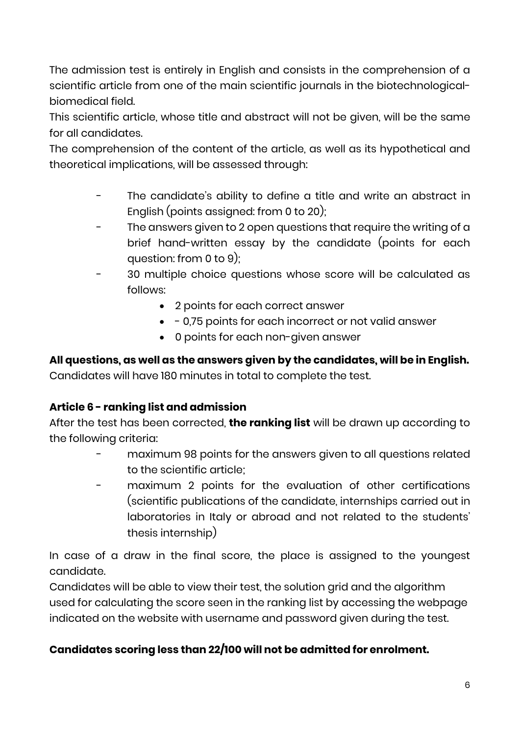The admission test is entirely in English and consists in the comprehension of a scientific article from one of the main scientific journals in the biotechnologicalbiomedical field.

This scientific article, whose title and abstract will not be given, will be the same for all candidates.

The comprehension of the content of the article, as well as its hypothetical and theoretical implications, will be assessed through:

- The candidate's ability to define a title and write an abstract in English (points assigned: from 0 to 20);
- The answers given to 2 open questions that require the writing of a brief hand-written essay by the candidate (points for each question: from 0 to 9);
- 30 multiple choice questions whose score will be calculated as follows:
	- 2 points for each correct answer
	- - 0,75 points for each incorrect or not valid answer
	- 0 points for each non-given answer

**All questions, as well as the answers given by the candidates, will be in English.** Candidates will have 180 minutes in total to complete the test.

# **Article 6 - ranking list and admission**

After the test has been corrected, **the ranking list** will be drawn up according to the following criteria:

- maximum 98 points for the answers given to all questions related to the scientific article;
- maximum 2 points for the evaluation of other certifications (scientific publications of the candidate, internships carried out in laboratories in Italy or abroad and not related to the students' thesis internship)

In case of a draw in the final score, the place is assigned to the youngest candidate.

Candidates will be able to view their test, the solution grid and the algorithm used for calculating the score seen in the ranking list by accessing the webpage indicated on the website with username and password given during the test.

## **Candidates scoring less than 22/100 will not be admitted for enrolment.**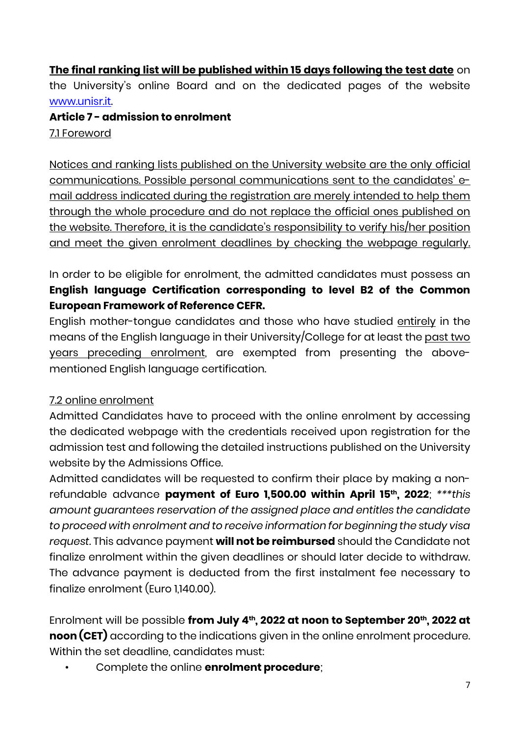**The final ranking list will be published within 15 days following the test date** on the University's online Board and on the dedicated pages of the website [www.unisr.it.](http://www.unisr.it/)

**Article 7 - admission to enrolment** 7.1 Foreword

Notices and ranking lists published on the University website are the only official communications. Possible personal communications sent to the candidates' email address indicated during the registration are merely intended to help them through the whole procedure and do not replace the official ones published on the website. Therefore, it is the candidate's responsibility to verify his/her position and meet the given enrolment deadlines by checking the webpage regularly.

In order to be eligible for enrolment, the admitted candidates must possess an **English language Certification corresponding to level B2 of the Common European Framework of Reference CEFR.**

English mother-tongue candidates and those who have studied entirely in the means of the English language in their University/College for at least the past two years preceding enrolment, are exempted from presenting the abovementioned English language certification.

## 7.2 online enrolment

Admitted Candidates have to proceed with the online enrolment by accessing the dedicated webpage with the credentials received upon registration for the admission test and following the detailed instructions published on the University website by the Admissions Office.

Admitted candidates will be requested to confirm their place by making a nonrefundable advance **payment of Euro 1,500.00 within April 15th, 2022**; *\*\*\*this amount guarantees reservation of the assigned place and entitles the candidate to proceed with enrolment and to receive information for beginning the study visa request.* This advance payment **will not be reimbursed** should the Candidate not finalize enrolment within the given deadlines or should later decide to withdraw. The advance payment is deducted from the first instalment fee necessary to finalize enrolment (Euro 1,140.00).

Enrolment will be possible **from July 4th, 2022 at noon to September 20th, 2022 at noon (CET)** according to the indications given in the online enrolment procedure. Within the set deadline, candidates must:

• Complete the online **enrolment procedure**;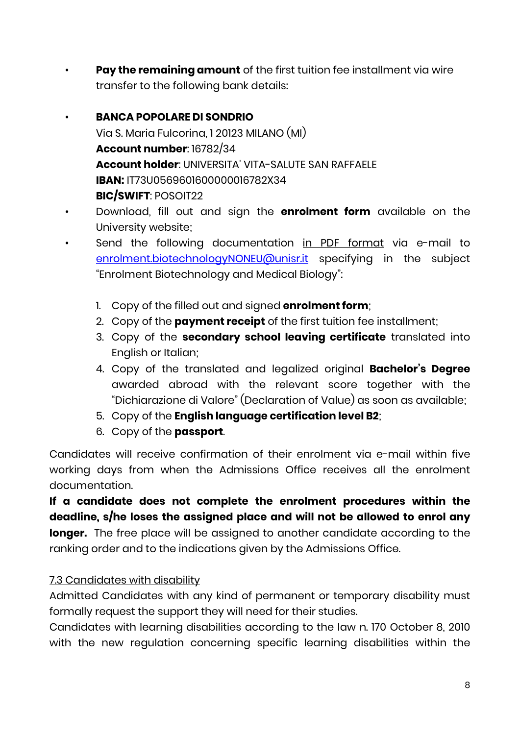**Pay the remaining amount** of the first tuition fee installment via wire transfer to the following bank details:

# • **BANCA POPOLARE DI SONDRIO** Via S. Maria Fulcorina, 1 20123 MILANO (MI) **Account number**: 16782/34 **Account holder**: UNIVERSITA' VITA-SALUTE SAN RAFFAELE **IBAN:** IT73U0569601600000016782X34 **BIC/SWIFT**: POSOIT22

- Download, fill out and sign the **enrolment form** available on the University website;
- Send the following documentation in PDF format via e-mail to [enrolment.biotechnologyNONEU@unisr.it](mailto:enrolment.biotechnologyNONEU@unisr.it) specifying in the subject "Enrolment Biotechnology and Medical Biology":
	- 1. Copy of the filled out and signed **enrolment form**;
	- 2. Copy of the **payment receipt** of the first tuition fee installment;
	- 3. Copy of the **secondary school leaving certificate** translated into English or Italian;
	- 4. Copy of the translated and legalized original **Bachelor's Degree** awarded abroad with the relevant score together with the "Dichiarazione di Valore" (Declaration of Value) as soon as available;
	- 5. Copy of the **English language certification level B2**;
	- 6. Copy of the **passport**.

Candidates will receive confirmation of their enrolment via e-mail within five working days from when the Admissions Office receives all the enrolment documentation.

**If a candidate does not complete the enrolment procedures within the deadline, s/he loses the assigned place and will not be allowed to enrol any longer.** The free place will be assigned to another candidate according to the ranking order and to the indications given by the Admissions Office.

# 7.3 Candidates with disability

Admitted Candidates with any kind of permanent or temporary disability must formally request the support they will need for their studies.

Candidates with learning disabilities according to the law n. 170 October 8, 2010 with the new regulation concerning specific learning disabilities within the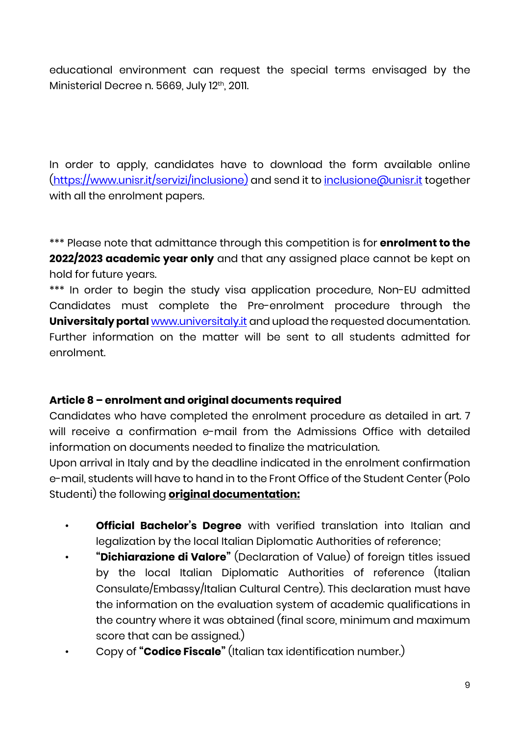educational environment can request the special terms envisaged by the Ministerial Decree n. 5669, July 12th, 2011.

In order to apply, candidates have to download the form available online [\(https://www.unisr.it/servizi/inclusione\)](https://www.unisr.it/servizi/inclusione) and send it to [inclusione@unisr.it](mailto:inclusione@unisr.it) together with all the enrolment papers.

\*\*\* Please note that admittance through this competition is for **enrolment to the 2022/2023 academic year only** and that any assigned place cannot be kept on hold for future years.

\*\*\* In order to begin the study visa application procedure, Non-EU admitted Candidates must complete the Pre-enrolment procedure through the **Universitaly portal** [www.universitaly.it](http://www.universitaly.it/) and upload the requested documentation. Further information on the matter will be sent to all students admitted for enrolment.

#### **Article 8 – enrolment and original documents required**

Candidates who have completed the enrolment procedure as detailed in art. 7 will receive a confirmation e-mail from the Admissions Office with detailed information on documents needed to finalize the matriculation.

Upon arrival in Italy and by the deadline indicated in the enrolment confirmation e-mail, students will have to hand in to the Front Office of the Student Center (Polo Studenti) the following **original documentation:**

- **Official Bachelor's Degree** with verified translation into Italian and legalization by the local Italian Diplomatic Authorities of reference;
- **"Dichiarazione di Valore"** (Declaration of Value) of foreign titles issued by the local Italian Diplomatic Authorities of reference (Italian Consulate/Embassy/Italian Cultural Centre). This declaration must have the information on the evaluation system of academic qualifications in the country where it was obtained (final score, minimum and maximum score that can be assigned.)
- Copy of **"Codice Fiscale"** (Italian tax identification number.)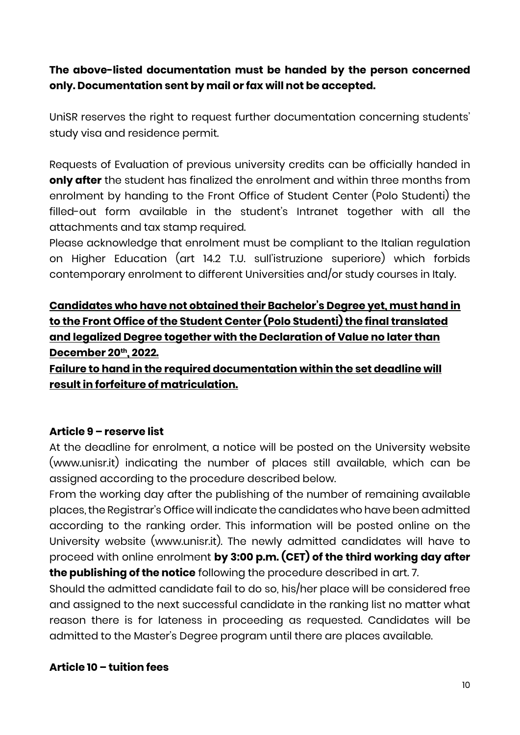## **The above-listed documentation must be handed by the person concerned only. Documentation sent by mail or fax will not be accepted.**

UniSR reserves the right to request further documentation concerning students' study visa and residence permit.

Requests of Evaluation of previous university credits can be officially handed in **only after** the student has finalized the enrolment and within three months from enrolment by handing to the Front Office of Student Center (Polo Studenti) the filled-out form available in the student's Intranet together with all the attachments and tax stamp required.

Please acknowledge that enrolment must be compliant to the Italian regulation on Higher Education (art 14.2 T.U. sull'istruzione superiore) which forbids contemporary enrolment to different Universities and/or study courses in Italy.

**Candidates who have not obtained their Bachelor's Degree yet, must hand in to the Front Office of the Student Center (Polo Studenti) the final translated and legalized Degree together with the Declaration of Value no later than December 20th, 2022.**

**Failure to hand in the required documentation within the set deadline will result in forfeiture of matriculation.** 

#### **Article 9 – reserve list**

At the deadline for enrolment, a notice will be posted on the University website (www.unisr.it) indicating the number of places still available, which can be assigned according to the procedure described below.

From the working day after the publishing of the number of remaining available places, the Registrar's Office will indicate the candidates who have been admitted according to the ranking order. This information will be posted online on the University website (www.unisr.it). The newly admitted candidates will have to proceed with online enrolment **by 3:00 p.m. (CET) of the third working day after the publishing of the notice** following the procedure described in art. 7.

Should the admitted candidate fail to do so, his/her place will be considered free and assigned to the next successful candidate in the ranking list no matter what reason there is for lateness in proceeding as requested. Candidates will be admitted to the Master's Degree program until there are places available.

#### **Article 10 – tuition fees**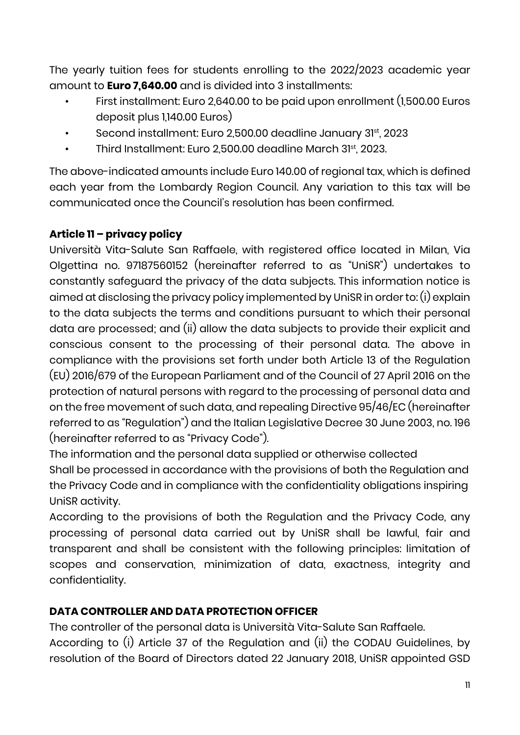The yearly tuition fees for students enrolling to the 2022/2023 academic year amount to **Euro 7,640.00** and is divided into 3 installments:

- First installment: Euro 2,640.00 to be paid upon enrollment (1,500.00 Euros deposit plus 1,140.00 Euros)
- Second installment: Euro 2,500.00 deadline January 31st, 2023
- Third Installment: Euro 2,500.00 deadline March 31st, 2023.

The above-indicated amounts include Euro 140.00 of regional tax, which is defined each year from the Lombardy Region Council. Any variation to this tax will be communicated once the Council's resolution has been confirmed.

## **Article 11 – privacy policy**

Università Vita-Salute San Raffaele, with registered office located in Milan, Via Olgettina no. 97187560152 (hereinafter referred to as "UniSR") undertakes to constantly safeguard the privacy of the data subjects. This information notice is aimed at disclosing the privacy policy implemented by UniSR in order to: (i) explain to the data subjects the terms and conditions pursuant to which their personal data are processed; and (ii) allow the data subjects to provide their explicit and conscious consent to the processing of their personal data. The above in compliance with the provisions set forth under both Article 13 of the Regulation (EU) 2016/679 of the European Parliament and of the Council of 27 April 2016 on the protection of natural persons with regard to the processing of personal data and on the free movement of such data, and repealing Directive 95/46/EC (hereinafter referred to as "Regulation") and the Italian Legislative Decree 30 June 2003, no. 196 (hereinafter referred to as "Privacy Code").

The information and the personal data supplied or otherwise collected Shall be processed in accordance with the provisions of both the Regulation and the Privacy Code and in compliance with the confidentiality obligations inspiring UniSR activity.

According to the provisions of both the Regulation and the Privacy Code, any processing of personal data carried out by UniSR shall be lawful, fair and transparent and shall be consistent with the following principles: limitation of scopes and conservation, minimization of data, exactness, integrity and confidentiality.

## **DATA CONTROLLER AND DATA PROTECTION OFFICER**

The controller of the personal data is Università Vita-Salute San Raffaele.

According to (i) Article 37 of the Regulation and (ii) the CODAU Guidelines, by resolution of the Board of Directors dated 22 January 2018, UniSR appointed GSD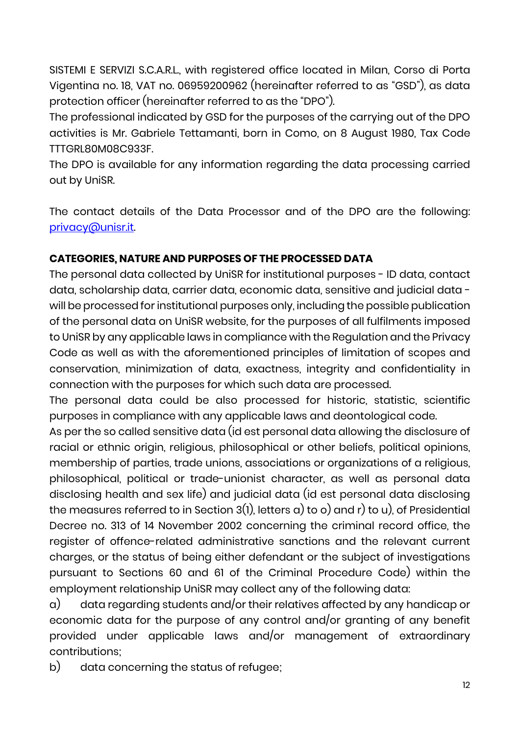SISTEMI E SERVIZI S.C.A.R.L., with registered office located in Milan, Corso di Porta Vigentina no. 18, VAT no. 06959200962 (hereinafter referred to as "GSD"), as data protection officer (hereinafter referred to as the "DPO").

The professional indicated by GSD for the purposes of the carrying out of the DPO activities is Mr. Gabriele Tettamanti, born in Como, on 8 August 1980, Tax Code TTTGRL80M08C933F.

The DPO is available for any information regarding the data processing carried out by UniSR.

The contact details of the Data Processor and of the DPO are the following: [privacy@unisr.it.](mailto:privacy@unisr.it) 

## **CATEGORIES, NATURE AND PURPOSES OF THE PROCESSED DATA**

The personal data collected by UniSR for institutional purposes - ID data, contact data, scholarship data, carrier data, economic data, sensitive and judicial data will be processed for institutional purposes only, including the possible publication of the personal data on UniSR website, for the purposes of all fulfilments imposed to UniSR by any applicable laws in compliance with the Regulation and the Privacy Code as well as with the aforementioned principles of limitation of scopes and conservation, minimization of data, exactness, integrity and confidentiality in connection with the purposes for which such data are processed.

The personal data could be also processed for historic, statistic, scientific purposes in compliance with any applicable laws and deontological code.

As per the so called sensitive data (id est personal data allowing the disclosure of racial or ethnic origin, religious, philosophical or other beliefs, political opinions, membership of parties, trade unions, associations or organizations of a religious, philosophical, political or trade-unionist character, as well as personal data disclosing health and sex life) and judicial data (id est personal data disclosing the measures referred to in Section 3(1), letters a) to o) and r) to u), of Presidential Decree no. 313 of 14 November 2002 concerning the criminal record office, the register of offence-related administrative sanctions and the relevant current charges, or the status of being either defendant or the subject of investigations pursuant to Sections 60 and 61 of the Criminal Procedure Code) within the employment relationship UniSR may collect any of the following data:

a) data regarding students and/or their relatives affected by any handicap or economic data for the purpose of any control and/or granting of any benefit provided under applicable laws and/or management of extraordinary contributions;

b) data concerning the status of refugee;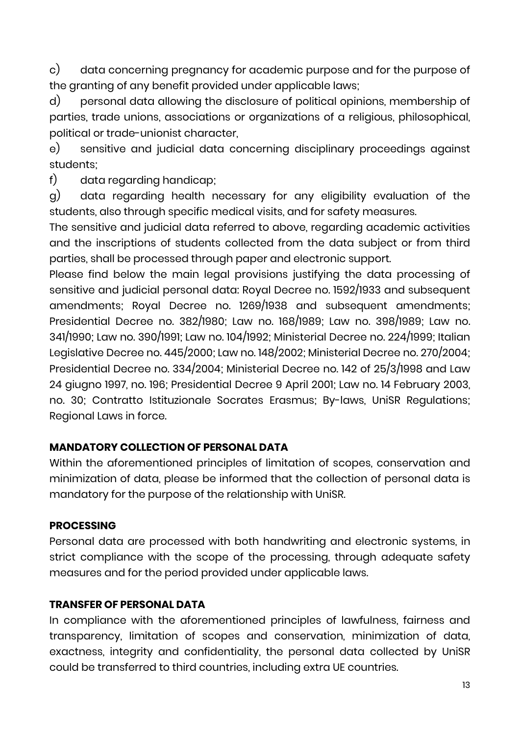c) data concerning pregnancy for academic purpose and for the purpose of the granting of any benefit provided under applicable laws;

d) personal data allowing the disclosure of political opinions, membership of parties, trade unions, associations or organizations of a religious, philosophical, political or trade-unionist character,

e) sensitive and judicial data concerning disciplinary proceedings against students;

f) data regarding handicap;

g) data regarding health necessary for any eligibility evaluation of the students, also through specific medical visits, and for safety measures.

The sensitive and judicial data referred to above, regarding academic activities and the inscriptions of students collected from the data subject or from third parties, shall be processed through paper and electronic support.

Please find below the main legal provisions justifying the data processing of sensitive and judicial personal data: Royal Decree no. 1592/1933 and subsequent amendments; Royal Decree no. 1269/1938 and subsequent amendments; Presidential Decree no. 382/1980; Law no. 168/1989; Law no. 398/1989; Law no. 341/1990; Law no. 390/1991; Law no. 104/1992; Ministerial Decree no. 224/1999; Italian Legislative Decree no. 445/2000; Law no. 148/2002; Ministerial Decree no. 270/2004; Presidential Decree no. 334/2004; Ministerial Decree no. 142 of 25/3/1998 and Law 24 giugno 1997, no. 196; Presidential Decree 9 April 2001; Law no. 14 February 2003, no. 30; Contratto Istituzionale Socrates Erasmus; By-laws, UniSR Regulations; Regional Laws in force.

#### **MANDATORY COLLECTION OF PERSONAL DATA**

Within the aforementioned principles of limitation of scopes, conservation and minimization of data, please be informed that the collection of personal data is mandatory for the purpose of the relationship with UniSR.

#### **PROCESSING**

Personal data are processed with both handwriting and electronic systems, in strict compliance with the scope of the processing, through adequate safety measures and for the period provided under applicable laws.

#### **TRANSFER OF PERSONAL DATA**

In compliance with the aforementioned principles of lawfulness, fairness and transparency, limitation of scopes and conservation, minimization of data, exactness, integrity and confidentiality, the personal data collected by UniSR could be transferred to third countries, including extra UE countries.